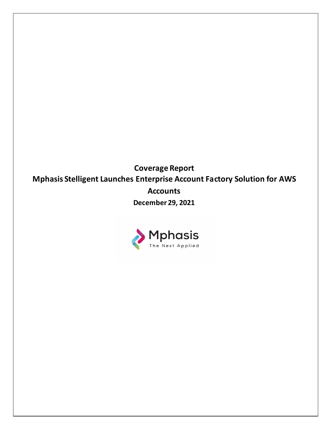**Coverage Report Mphasis Stelligent Launches Enterprise Account Factory Solution for AWS Accounts December 29, 2021**

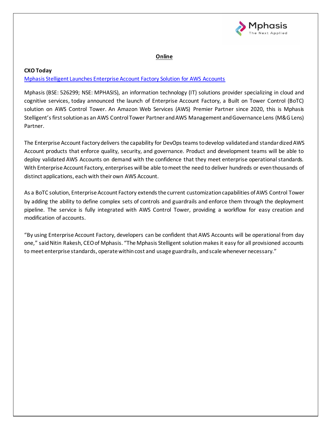

# **Online**

## **CXO Today**

# [Mphasis Stelligent Launches Enterprise Account Factory Solution for AWS Accounts](https://www.cxotoday.com/press-release/mphasis-stelligent-launches-enterprise-account-factory-solution-for-aws-accounts/)

Mphasis (BSE: 526299; NSE: MPHASIS), an information technology (IT) solutions provider specializing in cloud and cognitive services, today announced the launch of Enterprise Account Factory, a Built on Tower Control (BoTC) solution on AWS Control Tower. An Amazon Web Services (AWS) Premier Partner since 2020, this is Mphasis Stelligent's first solution as an AWS Control Tower Partner and AWS Management and Governance Lens (M&G Lens) Partner.

The Enterprise Account Factory delivers the capability for DevOps teams to develop validated and standardized AWS Account products that enforce quality, security, and governance. Product and development teams will be able to deploy validated AWS Accounts on demand with the confidence that they meet enterprise operational standards. With Enterprise Account Factory, enterprises will be able to meet the need to deliver hundreds or even thousands of distinct applications, each with their own AWS Account.

As a BoTC solution, Enterprise Account Factory extends the current customization capabilities of AWS Control Tower by adding the ability to define complex sets of controls and guardrails and enforce them through the deployment pipeline. The service is fully integrated with AWS Control Tower, providing a workflow for easy creation and modification of accounts.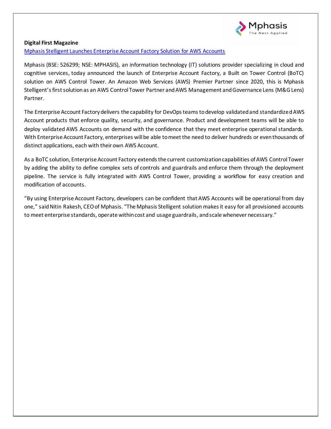

### **Digital First Magazine**

[Mphasis Stelligent Launches Enterprise Account Factory Solution for AWS Accounts](https://www.digitalfirstmagazine.com/mphasis-stelligent-launches-enterprise-account-factory-solution-for-aws-accounts/)

Mphasis (BSE: 526299; NSE: MPHASIS), an information technology (IT) solutions provider specializing in cloud and cognitive services, today announced the launch of Enterprise Account Factory, a Built on Tower Control (BoTC) solution on AWS Control Tower. An Amazon Web Services (AWS) Premier Partner since 2020, this is Mphasis Stelligent's first solution as an AWS Control Tower Partner and AWS Management and Governance Lens (M&G Lens) Partner.

The Enterprise Account Factory delivers the capability for DevOps teams to develop validated and standardized AWS Account products that enforce quality, security, and governance. Product and development teams will be able to deploy validated AWS Accounts on demand with the confidence that they meet enterprise operational standards. With Enterprise Account Factory, enterprises will be able to meet the need to deliver hundreds or even thousands of distinct applications, each with their own AWS Account.

As a BoTC solution, Enterprise Account Factory extends the current customization capabilities of AWS Control Tower by adding the ability to define complex sets of controls and guardrails and enforce them through the deployment pipeline. The service is fully integrated with AWS Control Tower, providing a workflow for easy creation and modification of accounts.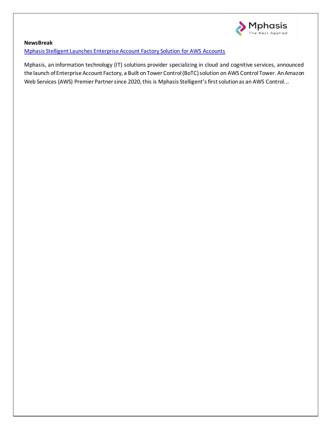

# **NewsBreak** [Mphasis Stelligent Launches Enterprise Account Factory Solution for AWS Accounts](https://www.newsbreak.com/news/2462880959571/mphasis-stelligent-launches-enterprise-account-factory-solution-for-aws-accounts)

Mphasis, an information technology (IT) solutions provider specializing in cloud and cognitive services, announced the launch of Enterprise Account Factory, a Built on Tower Control (BoTC) solution on AWS Control Tower. An Amazon Web Services (AWS) Premier Partner since 2020, this is Mphasis Stelligent's first solution as an AWS Control...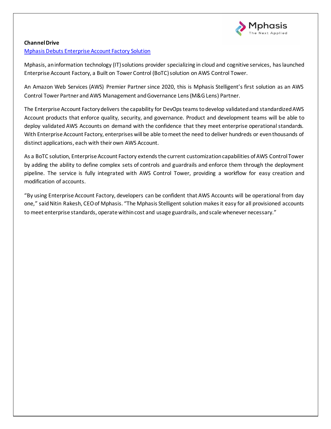

## **Channel Drive**

## [Mphasis Debuts Enterprise Account Factory Solution](https://channeldrive.in/enterprise/mphasis-debuts-enterprise-account-factory-solution/)

Mphasis, an information technology (IT) solutions provider specializing in cloud and cognitive services, has launched Enterprise Account Factory, a Built on Tower Control (BoTC) solution on AWS Control Tower.

An Amazon Web Services (AWS) Premier Partner since 2020, this is Mphasis Stelligent's first solution as an AWS Control Tower Partner and AWS Management and Governance Lens (M&G Lens) Partner.

The Enterprise Account Factory delivers the capability for DevOps teams to develop validated and standardized AWS Account products that enforce quality, security, and governance. Product and development teams will be able to deploy validated AWS Accounts on demand with the confidence that they meet enterprise operational standards. With Enterprise Account Factory, enterprises will be able to meet the need to deliver hundreds or even thousands of distinct applications, each with their own AWS Account.

As a BoTC solution, Enterprise Account Factory extends the current customization capabilities of AWS Control Tower by adding the ability to define complex sets of controls and guardrails and enforce them through the deployment pipeline. The service is fully integrated with AWS Control Tower, providing a workflow for easy creation and modification of accounts.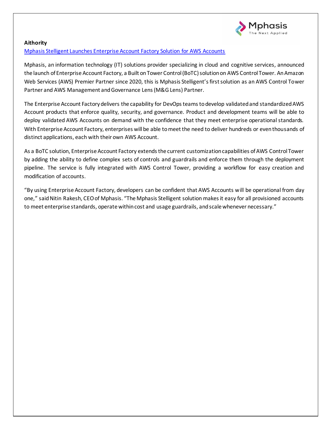

## **Aithority**

# [Mphasis Stelligent Launches Enterprise Account Factory Solution for AWS Accounts](https://aithority.com/it-and-devops/cloud/mphasis-stelligent-launches-enterprise-account-factory-solution-for-aws-accounts/)

Mphasis, an information technology (IT) solutions provider specializing in cloud and cognitive services, announced the launch of Enterprise Account Factory, a Built on Tower Control (BoTC) solution on AWS Control Tower. An Amazon Web Services (AWS) Premier Partner since 2020, this is Mphasis Stelligent's first solution as an AWS Control Tower Partner and AWS Management and Governance Lens (M&G Lens) Partner.

The Enterprise Account Factory delivers the capability for DevOps teams to develop validated and standardized AWS Account products that enforce quality, security, and governance. Product and development teams will be able to deploy validated AWS Accounts on demand with the confidence that they meet enterprise operational standards. With Enterprise Account Factory, enterprises will be able to meet the need to deliver hundreds or even thousands of distinct applications, each with their own AWS Account.

As a BoTC solution, Enterprise Account Factory extends the current customization capabilities of AWS Control Tower by adding the ability to define complex sets of controls and guardrails and enforce them through the deployment pipeline. The service is fully integrated with AWS Control Tower, providing a workflow for easy creation and modification of accounts.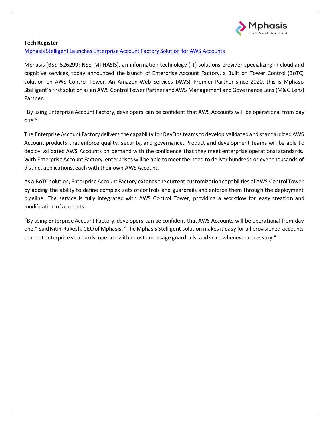

## **Tech Register**

[Mphasis Stelligent Launches Enterprise Account Factory Solution for AWS Accounts](https://www.techregister.co.uk/mphasis-stelligent-launches-enterprise-account-factory-solution-for-aws-accounts-news/)

Mphasis (BSE: 526299; NSE: MPHASIS), an information technology (IT) solutions provider specializing in cloud and cognitive services, today announced the launch of Enterprise Account Factory, a Built on Tower Control (BoTC) solution on AWS Control Tower. An Amazon Web Services (AWS) Premier Partner since 2020, this is Mphasis Stelligent's first solution as an AWS Control Tower Partner and AWS Management and Governance Lens (M&G Lens) Partner.

"By using Enterprise Account Factory, developers can be confident that AWS Accounts will be operational from day one."

The Enterprise Account Factory delivers the capability for DevOps teams to develop validated and standardized AWS Account products that enforce quality, security, and governance. Product and development teams will be able to deploy validated AWS Accounts on demand with the confidence that they meet enterprise operational standards. With Enterprise Account Factory, enterprises will be able to meet the need to deliver hundreds or even thousands of distinct applications, each with their own AWS Account.

As a BoTC solution, Enterprise Account Factory extends the current customization capabilities of AWS Control Tower by adding the ability to define complex sets of controls and guardrails and enforce them through the deployment pipeline. The service is fully integrated with AWS Control Tower, providing a workflow for easy creation and modification of accounts.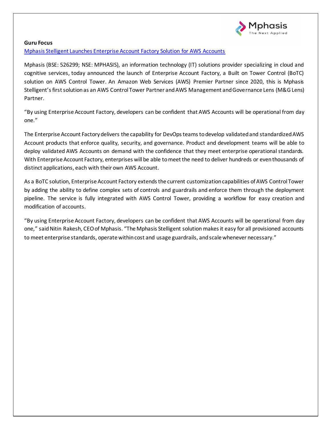

### **Guru Focus**

[Mphasis Stelligent Launches Enterprise Account Factory Solution for AWS Accounts](https://www.gurufocus.com/news/1597698/mphasis-stelligent-launches-enterprise-account-factory-solution-for-aws-accounts?gclid=EAIaIQobChMI4ubx3eT39AIV-YxoCR0HZgi_EAMYASAAEgIOuvD_BwE)

Mphasis (BSE: 526299; NSE: MPHASIS), an information technology (IT) solutions provider specializing in cloud and cognitive services, today announced the launch of Enterprise Account Factory, a Built on Tower Control (BoTC) solution on AWS Control Tower. An Amazon Web Services (AWS) Premier Partner since 2020, this is Mphasis Stelligent's first solution as an AWS Control Tower Partner and AWS Management and Governance Lens (M&G Lens) Partner.

"By using Enterprise Account Factory, developers can be confident that AWS Accounts will be operational from day one."

The Enterprise Account Factory delivers the capability for DevOps teams to develop validated and standardized AWS Account products that enforce quality, security, and governance. Product and development teams will be able to deploy validated AWS Accounts on demand with the confidence that they meet enterprise operational standards. With Enterprise Account Factory, enterprises will be able to meet the need to deliver hundreds or even thousands of distinct applications, each with their own AWS Account.

As a BoTC solution, Enterprise Account Factory extends the current customization capabilities of AWS Control Tower by adding the ability to define complex sets of controls and guardrails and enforce them through the deployment pipeline. The service is fully integrated with AWS Control Tower, providing a workflow for easy creation and modification of accounts.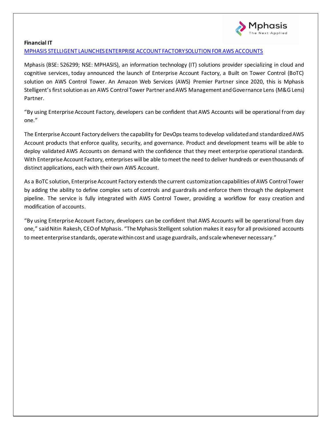

## **Financial IT**

## [MPHASIS STELLIGENT LAUNCHES ENTERPRISE ACCOUNT FACTORY SOLUTION FOR AWS ACCOUNTS](https://financialit.net/news/it-innovations/mphasis-stelligent-launches-enterprise-account-factory-solution-aws-accounts)

Mphasis (BSE: 526299; NSE: MPHASIS), an information technology (IT) solutions provider specializing in cloud and cognitive services, today announced the launch of Enterprise Account Factory, a Built on Tower Control (BoTC) solution on AWS Control Tower. An Amazon Web Services (AWS) Premier Partner since 2020, this is Mphasis Stelligent's first solution as an AWS Control Tower Partner and AWS Management and Governance Lens (M&G Lens) Partner.

"By using Enterprise Account Factory, developers can be confident that AWS Accounts will be operational from day one."

The Enterprise Account Factory delivers the capability for DevOps teams to develop validated and standardized AWS Account products that enforce quality, security, and governance. Product and development teams will be able to deploy validated AWS Accounts on demand with the confidence that they meet enterprise operational standards. With Enterprise Account Factory, enterprises will be able to meet the need to deliver hundreds or even thousands of distinct applications, each with their own AWS Account.

As a BoTC solution, Enterprise Account Factory extends the current customization capabilities of AWS Control Tower by adding the ability to define complex sets of controls and guardrails and enforce them through the deployment pipeline. The service is fully integrated with AWS Control Tower, providing a workflow for easy creation and modification of accounts.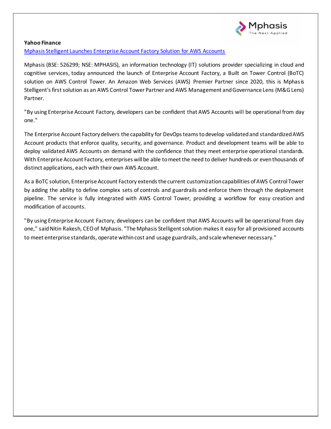

#### **Yahoo Finance**

[Mphasis Stelligent Launches Enterprise Account Factory Solution for AWS Accounts](https://finance.yahoo.com/news/mphasis-stelligent-launches-enterprise-account-130000707.html)

Mphasis (BSE: 526299; NSE: MPHASIS), an information technology (IT) solutions provider specializing in cloud and cognitive services, today announced the launch of Enterprise Account Factory, a Built on Tower Control (BoTC) solution on AWS Control Tower. An Amazon Web Services (AWS) Premier Partner since 2020, this is Mphasis Stelligent's first solution as an AWS Control Tower Partner and AWS Management and Governance Lens (M&G Lens) Partner.

"By using Enterprise Account Factory, developers can be confident that AWS Accounts will be operational from day one."

The Enterprise Account Factory delivers the capability for DevOps teams to develop validated and standardized AWS Account products that enforce quality, security, and governance. Product and development teams will be able to deploy validated AWS Accounts on demand with the confidence that they meet enterprise operational standards. With Enterprise Account Factory, enterprises will be able to meet the need to deliver hundreds or even thousands of distinct applications, each with their own AWS Account.

As a BoTC solution, Enterprise Account Factory extends the current customization capabilities of AWS Control Tower by adding the ability to define complex sets of controls and guardrails and enforce them through the deployment pipeline. The service is fully integrated with AWS Control Tower, providing a workflow for easy creation and modification of accounts.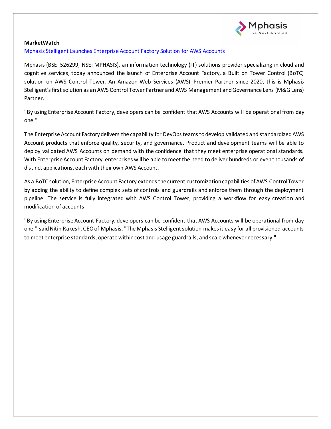

### **MarketWatch**

[Mphasis Stelligent Launches Enterprise Account Factory Solution for AWS Accounts](https://www.marketwatch.com/press-release/mphasis-stelligent-launches-enterprise-account-factory-solution-for-aws-accounts-2021-12-16)

Mphasis (BSE: 526299; NSE: MPHASIS), an information technology (IT) solutions provider specializing in cloud and cognitive services, today announced the launch of Enterprise Account Factory, a Built on Tower Control (BoTC) solution on AWS Control Tower. An Amazon Web Services (AWS) Premier Partner since 2020, this is Mphasis Stelligent's first solution as an AWS Control Tower Partner and AWS Management and Governance Lens (M&G Lens) Partner.

"By using Enterprise Account Factory, developers can be confident that AWS Accounts will be operational from day one."

The Enterprise Account Factory delivers the capability for DevOps teams to develop validated and standardized AWS Account products that enforce quality, security, and governance. Product and development teams will be able to deploy validated AWS Accounts on demand with the confidence that they meet enterprise operational standards. With Enterprise Account Factory, enterprises will be able to meet the need to deliver hundreds or even thousands of distinct applications, each with their own AWS Account.

As a BoTC solution, Enterprise Account Factory extends the current customization capabilities of AWS Control Tower by adding the ability to define complex sets of controls and guardrails and enforce them through the deployment pipeline. The service is fully integrated with AWS Control Tower, providing a workflow for easy creation and modification of accounts.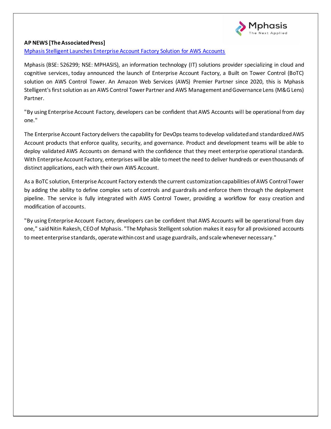

## **AP NEWS [The Associated Press]**

[Mphasis Stelligent Launches Enterprise Account Factory Solution for AWS Accounts](https://apnews.com/press-release/pr-newswire/technology-business-6274cc3988bc1ed97640bd424dfe1f17)

Mphasis (BSE: 526299; NSE: MPHASIS), an information technology (IT) solutions provider specializing in cloud and cognitive services, today announced the launch of Enterprise Account Factory, a Built on Tower Control (BoTC) solution on AWS Control Tower. An Amazon Web Services (AWS) Premier Partner since 2020, this is Mphasis Stelligent's first solution as an AWS Control Tower Partner and AWS Management and Governance Lens (M&G Lens) Partner.

"By using Enterprise Account Factory, developers can be confident that AWS Accounts will be operational from day one."

The Enterprise Account Factory delivers the capability for DevOps teams to develop validated and standardized AWS Account products that enforce quality, security, and governance. Product and development teams will be able to deploy validated AWS Accounts on demand with the confidence that they meet enterprise operational standards. With Enterprise Account Factory, enterprises will be able to meet the need to deliver hundreds or even thousands of distinct applications, each with their own AWS Account.

As a BoTC solution, Enterprise Account Factory extends the current customization capabilities of AWS Control Tower by adding the ability to define complex sets of controls and guardrails and enforce them through the deployment pipeline. The service is fully integrated with AWS Control Tower, providing a workflow for easy creation and modification of accounts.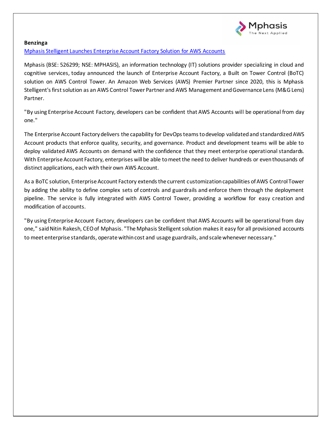

#### **Benzinga**

[Mphasis Stelligent Launches Enterprise Account Factory Solution for AWS Accounts](https://www.benzinga.com/amp/content/24641740)

Mphasis (BSE: 526299; NSE: MPHASIS), an information technology (IT) solutions provider specializing in cloud and cognitive services, today announced the launch of Enterprise Account Factory, a Built on Tower Control (BoTC) solution on AWS Control Tower. An Amazon Web Services (AWS) Premier Partner since 2020, this is Mphasis Stelligent's first solution as an AWS Control Tower Partner and AWS Management and Governance Lens (M&G Lens) Partner.

"By using Enterprise Account Factory, developers can be confident that AWS Accounts will be operational from day one."

The Enterprise Account Factory delivers the capability for DevOps teams to develop validated and standardized AWS Account products that enforce quality, security, and governance. Product and development teams will be able to deploy validated AWS Accounts on demand with the confidence that they meet enterprise operational standards. With Enterprise Account Factory, enterprises will be able to meet the need to deliver hundreds or even thousands of distinct applications, each with their own AWS Account.

As a BoTC solution, Enterprise Account Factory extends the current customization capabilities of AWS Control Tower by adding the ability to define complex sets of controls and guardrails and enforce them through the deployment pipeline. The service is fully integrated with AWS Control Tower, providing a workflow for easy creation and modification of accounts.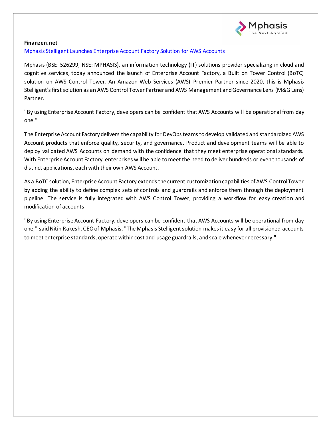

### **Finanzen.net**

[Mphasis Stelligent Launches Enterprise Account Factory Solution for AWS Accounts](https://www.finanzen.net/nachricht/aktien/mphasis-stelligent-launches-enterprise-account-factory-solution-for-aws-accounts-10851807)

Mphasis (BSE: 526299; NSE: MPHASIS), an information technology (IT) solutions provider specializing in cloud and cognitive services, today announced the launch of Enterprise Account Factory, a Built on Tower Control (BoTC) solution on AWS Control Tower. An Amazon Web Services (AWS) Premier Partner since 2020, this is Mphasis Stelligent's first solution as an AWS Control Tower Partner and AWS Management and Governance Lens (M&G Lens) Partner.

"By using Enterprise Account Factory, developers can be confident that AWS Accounts will be operational from day one."

The Enterprise Account Factory delivers the capability for DevOps teams to develop validated and standardized AWS Account products that enforce quality, security, and governance. Product and development teams will be able to deploy validated AWS Accounts on demand with the confidence that they meet enterprise operational standards. With Enterprise Account Factory, enterprises will be able to meet the need to deliver hundreds or even thousands of distinct applications, each with their own AWS Account.

As a BoTC solution, Enterprise Account Factory extends the current customization capabilities of AWS Control Tower by adding the ability to define complex sets of controls and guardrails and enforce them through the deployment pipeline. The service is fully integrated with AWS Control Tower, providing a workflow for easy creation and modification of accounts.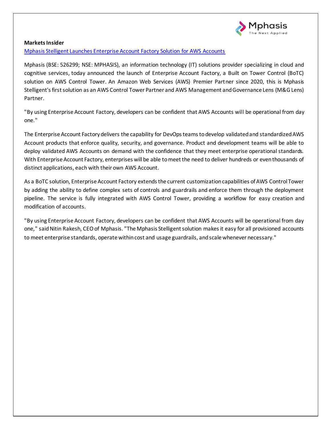

#### **Markets Insider**

[Mphasis Stelligent Launches Enterprise Account Factory Solution for AWS Accounts](https://markets.businessinsider.com/news/stocks/mphasis-stelligent-launches-enterprise-account-factory-solution-for-aws-accounts-1031050122)

Mphasis (BSE: 526299; NSE: MPHASIS), an information technology (IT) solutions provider specializing in cloud and cognitive services, today announced the launch of Enterprise Account Factory, a Built on Tower Control (BoTC) solution on AWS Control Tower. An Amazon Web Services (AWS) Premier Partner since 2020, this is Mphasis Stelligent's first solution as an AWS Control Tower Partner and AWS Management and Governance Lens (M&G Lens) Partner.

"By using Enterprise Account Factory, developers can be confident that AWS Accounts will be operational from day one."

The Enterprise Account Factory delivers the capability for DevOps teams to develop validated and standardized AWS Account products that enforce quality, security, and governance. Product and development teams will be able to deploy validated AWS Accounts on demand with the confidence that they meet enterprise operational standards. With Enterprise Account Factory, enterprises will be able to meet the need to deliver hundreds or even thousands of distinct applications, each with their own AWS Account.

As a BoTC solution, Enterprise Account Factory extends the current customization capabilities of AWS Control Tower by adding the ability to define complex sets of controls and guardrails and enforce them through the deployment pipeline. The service is fully integrated with AWS Control Tower, providing a workflow for easy creation and modification of accounts.